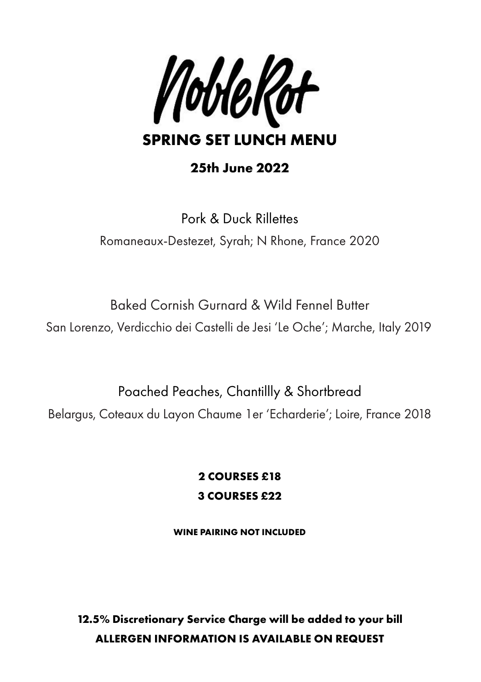

# **25th June 2022**

Pork & Duck Rillettes Romaneaux-Destezet, Syrah; N Rhone, France 2020

Baked Cornish Gurnard & Wild Fennel Butter San Lorenzo, Verdicchio dei Castelli de Jesi 'Le Oche'; Marche, Italy 2019

Poached Peaches, Chantillly & Shortbread

Belargus, Coteaux du Layon Chaume 1er 'Echarderie'; Loire, France 2018

**2 COURSES £18 3 COURSES £22**

**WINE PAIRING NOT INCLUDED**

**12.5% Discretionary Service Charge will be added to your bill ALLERGEN INFORMATION IS AVAILABLE ON REQUEST**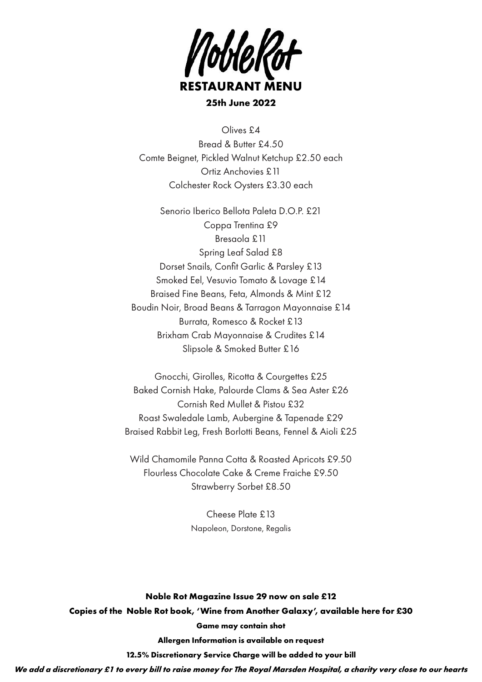

**25th June 2022**

Olives £4 Bread & Butter £4.50 Comte Beignet, Pickled Walnut Ketchup £2.50 each Ortiz Anchovies £11 Colchester Rock Oysters £3.30 each

Senorio Iberico Bellota Paleta D.O.P. £21 Coppa Trentina £9 Bresaola £11 Spring Leaf Salad £8 Dorset Snails, Confit Garlic & Parsley £13 Smoked Eel, Vesuvio Tomato & Lovage £14 Braised Fine Beans, Feta, Almonds & Mint £12 Boudin Noir, Broad Beans & Tarragon Mayonnaise £14 Burrata, Romesco & Rocket £13 Brixham Crab Mayonnaise & Crudites £14 Slipsole & Smoked Butter £16

Gnocchi, Girolles, Ricotta & Courgettes £25 Baked Cornish Hake, Palourde Clams & Sea Aster £26 Cornish Red Mullet & Pistou £32 Roast Swaledale Lamb, Aubergine & Tapenade £29 Braised Rabbit Leg, Fresh Borlotti Beans, Fennel & Aioli £25

Wild Chamomile Panna Cotta & Roasted Apricots £9.50 Flourless Chocolate Cake & Creme Fraiche £9.50 Strawberry Sorbet £8.50

> Cheese Plate £13 Napoleon, Dorstone, Regalis

**Noble Rot Magazine Issue 29 now on sale £12 Copies of the Noble Rot book, 'Wine from Another Galaxy', available here for £30 Game may contain shot Allergen Information is available on request 12.5% Discretionary Service Charge will be added to your bill**

*We add a discretionary £1 to every bill to raise money for The Royal Marsden Hospital, a charity very close to our hearts*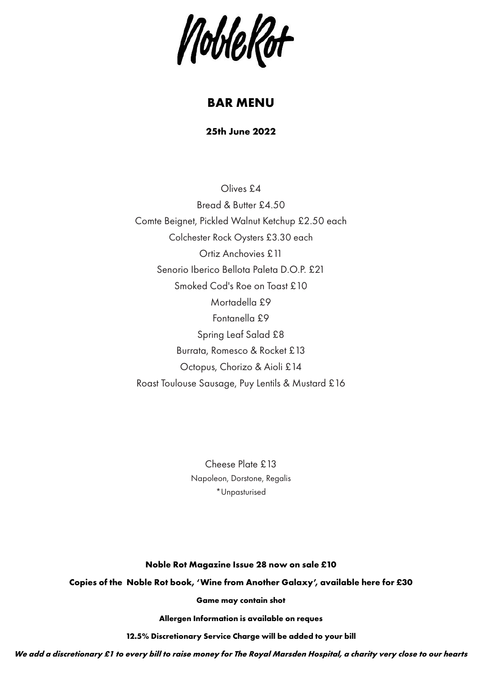NobleRot

# **BAR MENU**

**25th June 2022**

Olives £4 Bread & Butter £4.50 Comte Beignet, Pickled Walnut Ketchup £2.50 each Colchester Rock Oysters £3.30 each Ortiz Anchovies £11 Senorio Iberico Bellota Paleta D.O.P. £21 Smoked Cod's Roe on Toast £10 Mortadella £9 Fontanella £9 Spring Leaf Salad £8 Burrata, Romesco & Rocket £13 Octopus, Chorizo & Aioli £14 Roast Toulouse Sausage, Puy Lentils & Mustard £16

> Cheese Plate £13 Napoleon, Dorstone, Regalis \*Unpasturised

#### **Noble Rot Magazine Issue 28 now on sale £10**

**Copies of the Noble Rot book, 'Wine from Another Galaxy', available here for £30**

**Game may contain shot**

**Allergen Information is available on reques**

**12.5% Discretionary Service Charge will be added to your bill**

*We add a discretionary £1 to every bill to raise money for The Royal Marsden Hospital, a charity very close to our hearts*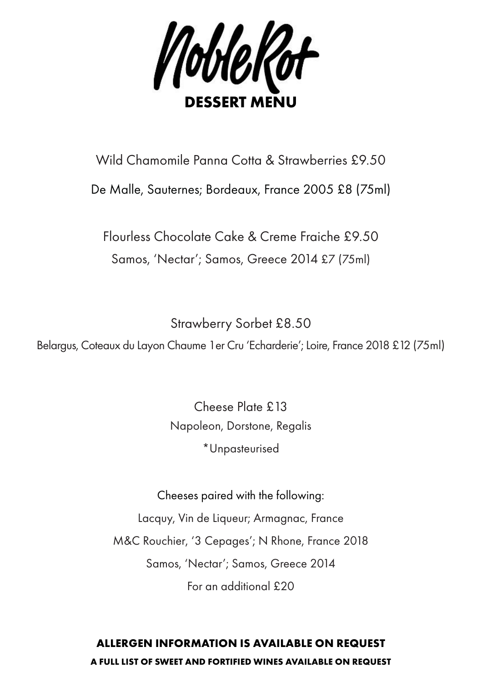

## Wild Chamomile Panna Cotta & Strawberries £9.50

### De Malle, Sauternes; Bordeaux, France 2005 £8 (75ml)

Flourless Chocolate Cake & Creme Fraiche £9.50 Samos, 'Nectar'; Samos, Greece 2014 £7 (75ml)

Strawberry Sorbet £8.50

Belargus, Coteaux du Layon Chaume 1er Cru 'Echarderie'; Loire, France 2018 £12 (75ml)

Cheese Plate £13 Napoleon, Dorstone, Regalis \*Unpasteurised

Cheeses paired with the following: Lacquy, Vin de Liqueur; Armagnac, France M&C Rouchier, '3 Cepages'; N Rhone, France 2018 Samos, 'Nectar'; Samos, Greece 2014

For an additional £20

### **ALLERGEN INFORMATION IS AVAILABLE ON REQUEST A FULL LIST OF SWEET AND FORTIFIED WINES AVAILABLE ON REQUEST**